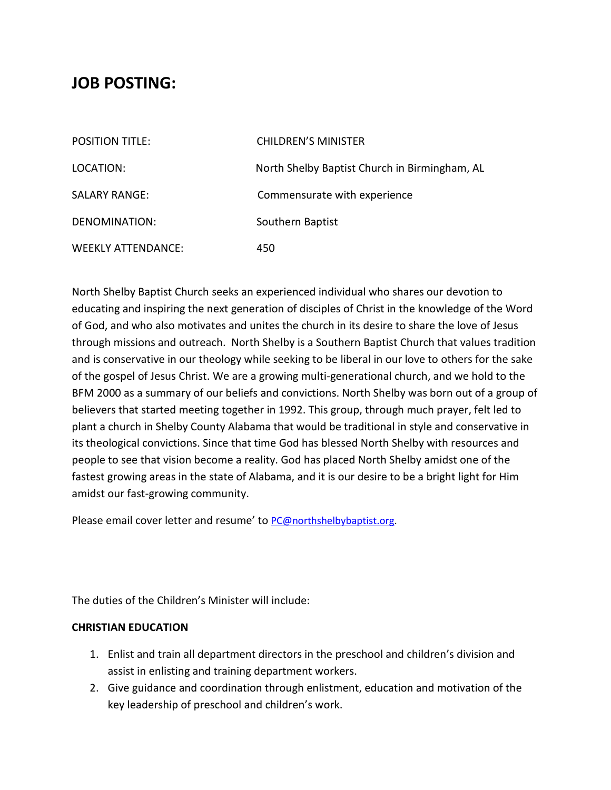# **JOB POSTING:**

| <b>POSITION TITLE:</b>    | <b>CHILDREN'S MINISTER</b>                    |
|---------------------------|-----------------------------------------------|
| LOCATION:                 | North Shelby Baptist Church in Birmingham, AL |
| <b>SALARY RANGE:</b>      | Commensurate with experience                  |
| DENOMINATION:             | Southern Baptist                              |
| <b>WEEKLY ATTENDANCE:</b> | 450                                           |

North Shelby Baptist Church seeks an experienced individual who shares our devotion to educating and inspiring the next generation of disciples of Christ in the knowledge of the Word of God, and who also motivates and unites the church in its desire to share the love of Jesus through missions and outreach. North Shelby is a Southern Baptist Church that values tradition and is conservative in our theology while seeking to be liberal in our love to others for the sake of the gospel of Jesus Christ. We are a growing multi-generational church, and we hold to the BFM 2000 as a summary of our beliefs and convictions. North Shelby was born out of a group of believers that started meeting together in 1992. This group, through much prayer, felt led to plant a church in Shelby County Alabama that would be traditional in style and conservative in its theological convictions. Since that time God has blessed North Shelby with resources and people to see that vision become a reality. God has placed North Shelby amidst one of the fastest growing areas in the state of Alabama, and it is our desire to be a bright light for Him amidst our fast-growing community.

Please email cover letter and resume' to [PC@northshelbybaptist.org.](mailto:PC@northshelbybaptist.org)

The duties of the Children's Minister will include:

#### **CHRISTIAN EDUCATION**

- 1. Enlist and train all department directors in the preschool and children's division and assist in enlisting and training department workers.
- 2. Give guidance and coordination through enlistment, education and motivation of the key leadership of preschool and children's work.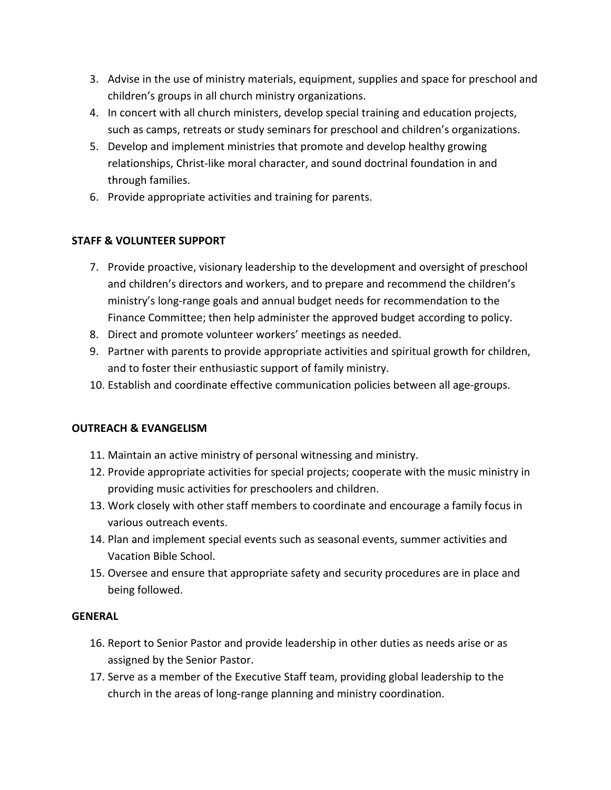- 3. Advise in the use of ministry materials, equipment, supplies and space for preschool and children's groups in all church ministry organizations.
- 4. In concert with all church ministers, develop special training and education projects, such as camps, retreats or study seminars for preschool and children's organizations.
- 5. Develop and implement ministries that promote and develop healthy growing relationships, Christ-like moral character, and sound doctrinal foundation in and through families.
- 6. Provide appropriate activities and training for parents.

## **STAFF & VOLUNTEER SUPPORT**

- 7. Provide proactive, visionary leadership to the development and oversight of preschool and children's directors and workers, and to prepare and recommend the children's ministry's long-range goals and annual budget needs for recommendation to the Finance Committee; then help administer the approved budget according to policy.
- 8. Direct and promote volunteer workers' meetings as needed.
- 9. Partner with parents to provide appropriate activities and spiritual growth for children, and to foster their enthusiastic support of family ministry.
- 10. Establish and coordinate effective communication policies between all age-groups.

### **OUTREACH & EVANGELISM**

- 11. Maintain an active ministry of personal witnessing and ministry.
- 12. Provide appropriate activities for special projects; cooperate with the music ministry in providing music activities for preschoolers and children.
- 13. Work closely with other staff members to coordinate and encourage a family focus in various outreach events.
- 14. Plan and implement special events such as seasonal events, summer activities and Vacation Bible School.
- 15. Oversee and ensure that appropriate safety and security procedures are in place and being followed.

### **GENERAL**

- 16. Report to Senior Pastor and provide leadership in other duties as needs arise or as assigned by the Senior Pastor.
- 17. Serve as a member of the Executive Staff team, providing global leadership to the church in the areas of long-range planning and ministry coordination.